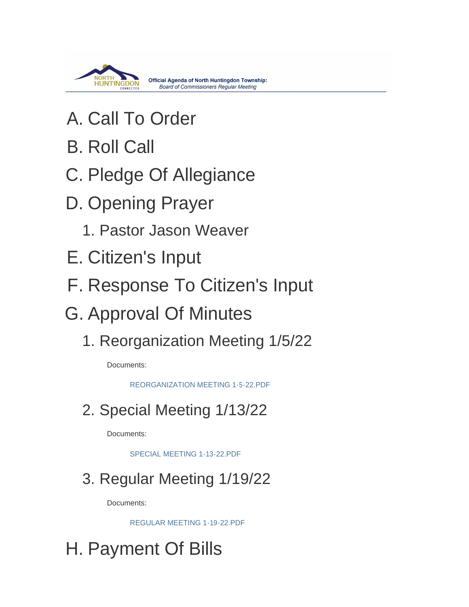

- A. Call To Order
- **B. Roll Call**
- C. Pledge Of Allegiance
- D. Opening Prayer
	- 1. Pastor Jason Weaver
- E. Citizen's Input
- F. Response To Citizen's Input
- G. Approval Of Minutes
	- 1. Reorganization Meeting 1/5/22

Documents:

[REORGANIZATION MEETING 1-5-22.PDF](https://www.township.north-huntingdon.pa.us/AgendaCenter/ViewFile/Item/3742?fileID=3132)

2. Special Meeting 1/13/22

Documents:

[SPECIAL MEETING 1-13-22.PDF](https://www.township.north-huntingdon.pa.us/AgendaCenter/ViewFile/Item/3743?fileID=3133)

3. Regular Meeting 1/19/22

Documents:

[REGULAR MEETING 1-19-22.PDF](https://www.township.north-huntingdon.pa.us/AgendaCenter/ViewFile/Item/3744?fileID=3134)

H. Payment Of Bills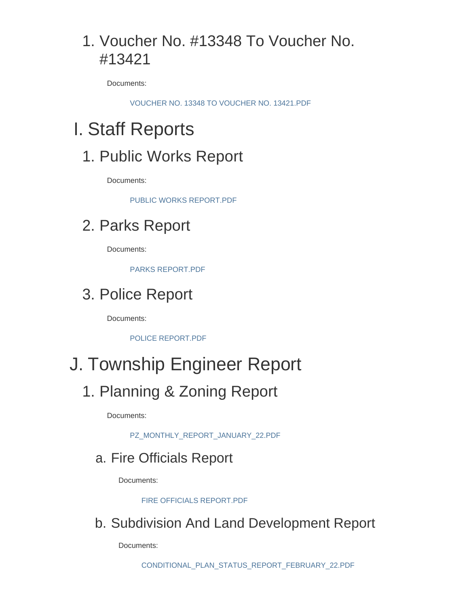## 1. Voucher No. #13348 To Voucher No. #13421

Documents:

[VOUCHER NO. 13348 TO VOUCHER NO. 13421.PDF](https://www.township.north-huntingdon.pa.us/AgendaCenter/ViewFile/Item/3760?fileID=3144)

# Staff Reports I.

#### 1. Public Works Report

Documents:

[PUBLIC WORKS REPORT.PDF](https://www.township.north-huntingdon.pa.us/AgendaCenter/ViewFile/Item/3761?fileID=3145)

#### 2. Parks Report

Documents:

[PARKS REPORT.PDF](https://www.township.north-huntingdon.pa.us/AgendaCenter/ViewFile/Item/3745?fileID=3135)

#### 3. Police Report

Documents:

[POLICE REPORT.PDF](https://www.township.north-huntingdon.pa.us/AgendaCenter/ViewFile/Item/3746?fileID=3136)

# J. Township Engineer Report

#### 1. Planning & Zoning Report

Documents:

[PZ\\_MONTHLY\\_REPORT\\_JANUARY\\_22.PDF](https://www.township.north-huntingdon.pa.us/AgendaCenter/ViewFile/Item/3747?fileID=3137)

#### a. Fire Officials Report

Documents:

[FIRE OFFICIALS REPORT.PDF](https://www.township.north-huntingdon.pa.us/AgendaCenter/ViewFile/Item/3748?fileID=3138)

b. Subdivision And Land Development Report

Documents: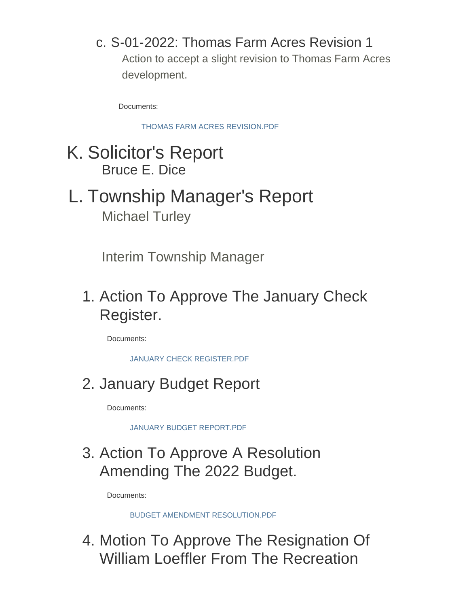#### c. S-01-2022: Thomas Farm Acres Revision 1

Action to accept a slight revision to Thomas Farm Acres development.

Documents:

[THOMAS FARM ACRES REVISION.PDF](https://www.township.north-huntingdon.pa.us/AgendaCenter/ViewFile/Item/3750?fileID=3140)

### K. Solicitor's Report Bruce E. Dice

# L. Township Manager's Report Michael Turley

Interim Township Manager

1. Action To Approve The January Check Register.

Documents:

[JANUARY CHECK REGISTER.PDF](https://www.township.north-huntingdon.pa.us/AgendaCenter/ViewFile/Item/3762?fileID=3146)

2. January Budget Report

Documents:

[JANUARY BUDGET REPORT.PDF](https://www.township.north-huntingdon.pa.us/AgendaCenter/ViewFile/Item/3759?fileID=3143)

### 3. Action To Approve A Resolution Amending The 2022 Budget.

Documents:

[BUDGET AMENDMENT RESOLUTION.PDF](https://www.township.north-huntingdon.pa.us/AgendaCenter/ViewFile/Item/3751?fileID=3141)

4. Motion To Approve The Resignation Of William Loeffler From The Recreation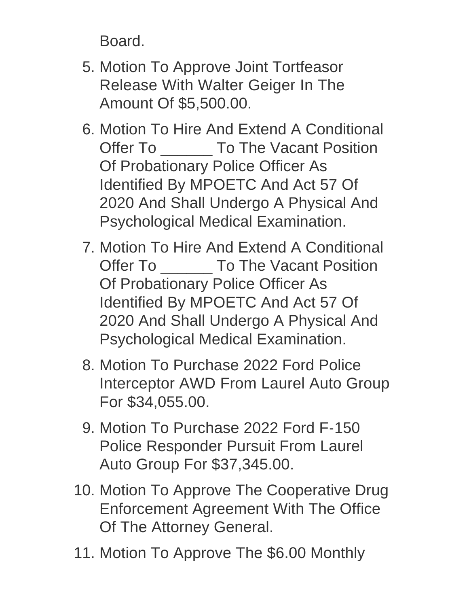Board.

- 5. Motion To Approve Joint Tortfeasor Release With Walter Geiger In The Amount Of \$5,500.00.
- 6. Motion To Hire And Extend A Conditional Offer To \_\_\_\_\_\_\_ To The Vacant Position Of Probationary Police Officer As Identified By MPOETC And Act 57 Of 2020 And Shall Undergo A Physical And Psychological Medical Examination.
- 7. Motion To Hire And Extend A Conditional Offer To \_\_\_\_\_\_\_\_ To The Vacant Position Of Probationary Police Officer As Identified By MPOETC And Act 57 Of 2020 And Shall Undergo A Physical And Psychological Medical Examination.
- 8. Motion To Purchase 2022 Ford Police Interceptor AWD From Laurel Auto Group For \$34,055.00.
- 9. Motion To Purchase 2022 Ford F-150 Police Responder Pursuit From Laurel Auto Group For \$37,345.00.
- 10. Motion To Approve The Cooperative Drug Enforcement Agreement With The Office Of The Attorney General.
- 11. Motion To Approve The \$6.00 Monthly